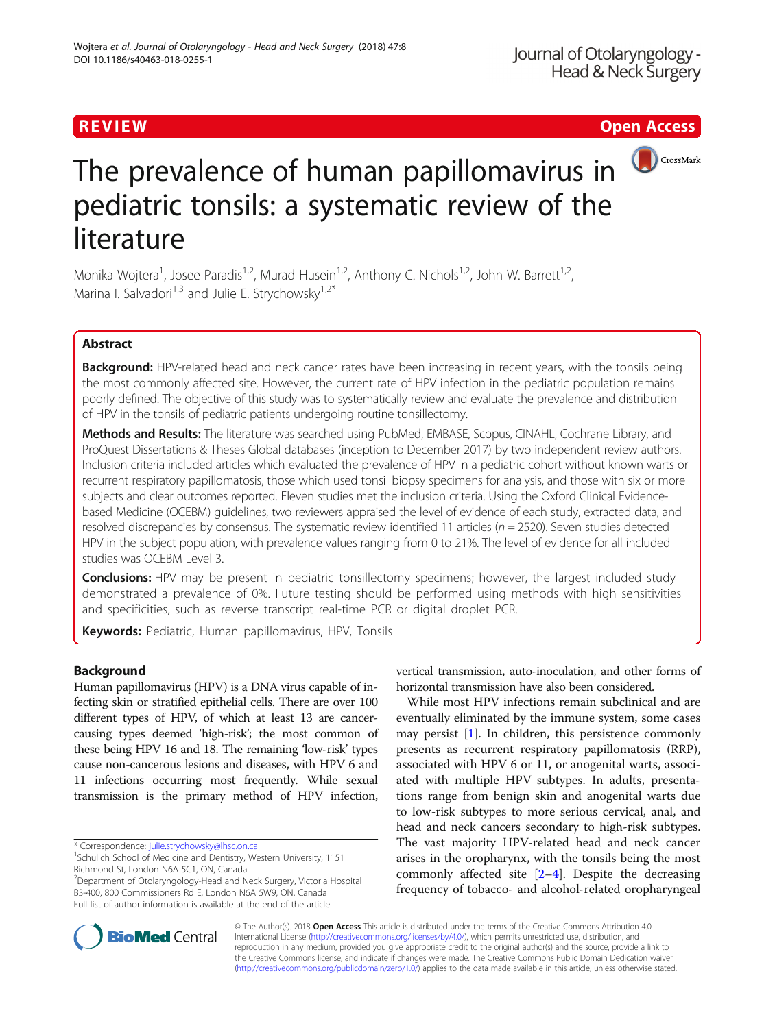# R EVI EW Open Access



# The prevalence of human papillomavirus in pediatric tonsils: a systematic review of the literature

Monika Wojtera<sup>1</sup>, Josee Paradis<sup>1,2</sup>, Murad Husein<sup>1,2</sup>, Anthony C. Nichols<sup>1,2</sup>, John W. Barrett<sup>1,2</sup>, Marina I. Salvadori<sup>1,3</sup> and Julie E. Strychowsky<sup>1,2\*</sup>

# Abstract

Background: HPV-related head and neck cancer rates have been increasing in recent years, with the tonsils being the most commonly affected site. However, the current rate of HPV infection in the pediatric population remains poorly defined. The objective of this study was to systematically review and evaluate the prevalence and distribution of HPV in the tonsils of pediatric patients undergoing routine tonsillectomy.

Methods and Results: The literature was searched using PubMed, EMBASE, Scopus, CINAHL, Cochrane Library, and ProQuest Dissertations & Theses Global databases (inception to December 2017) by two independent review authors. Inclusion criteria included articles which evaluated the prevalence of HPV in a pediatric cohort without known warts or recurrent respiratory papillomatosis, those which used tonsil biopsy specimens for analysis, and those with six or more subjects and clear outcomes reported. Eleven studies met the inclusion criteria. Using the Oxford Clinical Evidencebased Medicine (OCEBM) guidelines, two reviewers appraised the level of evidence of each study, extracted data, and resolved discrepancies by consensus. The systematic review identified 11 articles ( $n = 2520$ ). Seven studies detected HPV in the subject population, with prevalence values ranging from 0 to 21%. The level of evidence for all included studies was OCEBM Level 3.

**Conclusions:** HPV may be present in pediatric tonsillectomy specimens; however, the largest included study demonstrated a prevalence of 0%. Future testing should be performed using methods with high sensitivities and specificities, such as reverse transcript real-time PCR or digital droplet PCR.

Keywords: Pediatric, Human papillomavirus, HPV, Tonsils

# Background

Human papillomavirus (HPV) is a DNA virus capable of infecting skin or stratified epithelial cells. There are over 100 different types of HPV, of which at least 13 are cancercausing types deemed 'high-risk'; the most common of these being HPV 16 and 18. The remaining 'low-risk' types cause non-cancerous lesions and diseases, with HPV 6 and 11 infections occurring most frequently. While sexual transmission is the primary method of HPV infection,

\* Correspondence: [julie.strychowsky@lhsc.on.ca](mailto:julie.strychowsky@lhsc.on.ca) <sup>1</sup>

<sup>2</sup>Department of Otolaryngology-Head and Neck Surgery, Victoria Hospital B3-400, 800 Commissioners Rd E, London N6A 5W9, ON, Canada Full list of author information is available at the end of the article

vertical transmission, auto-inoculation, and other forms of horizontal transmission have also been considered.

While most HPV infections remain subclinical and are eventually eliminated by the immune system, some cases may persist [[1\]](#page-6-0). In children, this persistence commonly presents as recurrent respiratory papillomatosis (RRP), associated with HPV 6 or 11, or anogenital warts, associated with multiple HPV subtypes. In adults, presentations range from benign skin and anogenital warts due to low-risk subtypes to more serious cervical, anal, and head and neck cancers secondary to high-risk subtypes. The vast majority HPV-related head and neck cancer arises in the oropharynx, with the tonsils being the most commonly affected site  $[2-4]$  $[2-4]$  $[2-4]$  $[2-4]$ . Despite the decreasing frequency of tobacco- and alcohol-related oropharyngeal



© The Author(s). 2018 Open Access This article is distributed under the terms of the Creative Commons Attribution 4.0 International License [\(http://creativecommons.org/licenses/by/4.0/](http://creativecommons.org/licenses/by/4.0/)), which permits unrestricted use, distribution, and reproduction in any medium, provided you give appropriate credit to the original author(s) and the source, provide a link to the Creative Commons license, and indicate if changes were made. The Creative Commons Public Domain Dedication waiver [\(http://creativecommons.org/publicdomain/zero/1.0/](http://creativecommons.org/publicdomain/zero/1.0/)) applies to the data made available in this article, unless otherwise stated.

<sup>&</sup>lt;sup>1</sup>Schulich School of Medicine and Dentistry, Western University, 1151 Richmond St, London N6A 5C1, ON, Canada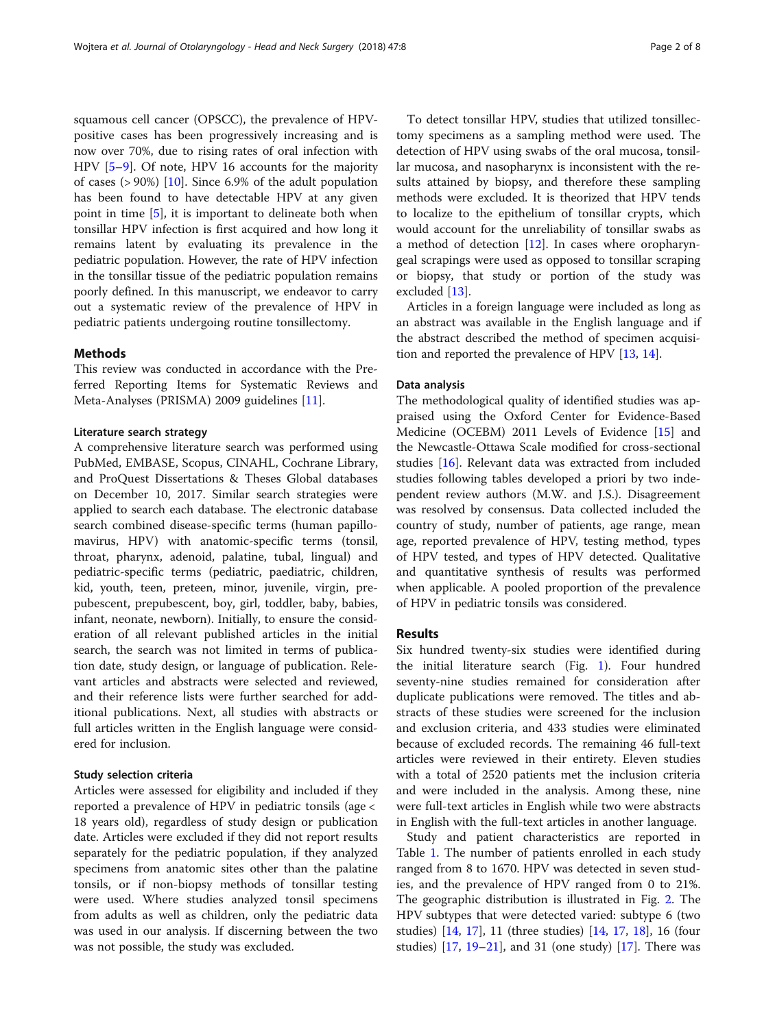squamous cell cancer (OPSCC), the prevalence of HPVpositive cases has been progressively increasing and is now over 70%, due to rising rates of oral infection with HPV [[5](#page-6-0)–[9](#page-6-0)]. Of note, HPV 16 accounts for the majority of cases (> 90%) [\[10\]](#page-6-0). Since 6.9% of the adult population has been found to have detectable HPV at any given point in time [[5\]](#page-6-0), it is important to delineate both when tonsillar HPV infection is first acquired and how long it remains latent by evaluating its prevalence in the pediatric population. However, the rate of HPV infection in the tonsillar tissue of the pediatric population remains poorly defined. In this manuscript, we endeavor to carry out a systematic review of the prevalence of HPV in pediatric patients undergoing routine tonsillectomy.

# Methods

This review was conducted in accordance with the Preferred Reporting Items for Systematic Reviews and Meta-Analyses (PRISMA) 2009 guidelines [[11\]](#page-6-0).

# Literature search strategy

A comprehensive literature search was performed using PubMed, EMBASE, Scopus, CINAHL, Cochrane Library, and ProQuest Dissertations & Theses Global databases on December 10, 2017. Similar search strategies were applied to search each database. The electronic database search combined disease-specific terms (human papillomavirus, HPV) with anatomic-specific terms (tonsil, throat, pharynx, adenoid, palatine, tubal, lingual) and pediatric-specific terms (pediatric, paediatric, children, kid, youth, teen, preteen, minor, juvenile, virgin, prepubescent, prepubescent, boy, girl, toddler, baby, babies, infant, neonate, newborn). Initially, to ensure the consideration of all relevant published articles in the initial search, the search was not limited in terms of publication date, study design, or language of publication. Relevant articles and abstracts were selected and reviewed, and their reference lists were further searched for additional publications. Next, all studies with abstracts or full articles written in the English language were considered for inclusion.

# Study selection criteria

Articles were assessed for eligibility and included if they reported a prevalence of HPV in pediatric tonsils (age < 18 years old), regardless of study design or publication date. Articles were excluded if they did not report results separately for the pediatric population, if they analyzed specimens from anatomic sites other than the palatine tonsils, or if non-biopsy methods of tonsillar testing were used. Where studies analyzed tonsil specimens from adults as well as children, only the pediatric data was used in our analysis. If discerning between the two was not possible, the study was excluded.

To detect tonsillar HPV, studies that utilized tonsillectomy specimens as a sampling method were used. The detection of HPV using swabs of the oral mucosa, tonsillar mucosa, and nasopharynx is inconsistent with the results attained by biopsy, and therefore these sampling methods were excluded. It is theorized that HPV tends to localize to the epithelium of tonsillar crypts, which would account for the unreliability of tonsillar swabs as a method of detection [\[12](#page-6-0)]. In cases where oropharyngeal scrapings were used as opposed to tonsillar scraping or biopsy, that study or portion of the study was excluded [[13\]](#page-6-0).

Articles in a foreign language were included as long as an abstract was available in the English language and if the abstract described the method of specimen acquisition and reported the prevalence of HPV [[13,](#page-6-0) [14\]](#page-6-0).

#### Data analysis

The methodological quality of identified studies was appraised using the Oxford Center for Evidence-Based Medicine (OCEBM) 2011 Levels of Evidence [[15](#page-6-0)] and the Newcastle-Ottawa Scale modified for cross-sectional studies [\[16\]](#page-6-0). Relevant data was extracted from included studies following tables developed a priori by two independent review authors (M.W. and J.S.). Disagreement was resolved by consensus. Data collected included the country of study, number of patients, age range, mean age, reported prevalence of HPV, testing method, types of HPV tested, and types of HPV detected. Qualitative and quantitative synthesis of results was performed when applicable. A pooled proportion of the prevalence of HPV in pediatric tonsils was considered.

# Results

Six hundred twenty-six studies were identified during the initial literature search (Fig. [1](#page-2-0)). Four hundred seventy-nine studies remained for consideration after duplicate publications were removed. The titles and abstracts of these studies were screened for the inclusion and exclusion criteria, and 433 studies were eliminated because of excluded records. The remaining 46 full-text articles were reviewed in their entirety. Eleven studies with a total of 2520 patients met the inclusion criteria and were included in the analysis. Among these, nine were full-text articles in English while two were abstracts in English with the full-text articles in another language.

Study and patient characteristics are reported in Table [1.](#page-3-0) The number of patients enrolled in each study ranged from 8 to 1670. HPV was detected in seven studies, and the prevalence of HPV ranged from 0 to 21%. The geographic distribution is illustrated in Fig. [2](#page-4-0). The HPV subtypes that were detected varied: subtype 6 (two studies) [[14,](#page-6-0) [17\]](#page-6-0), 11 (three studies) [[14,](#page-6-0) [17,](#page-6-0) [18](#page-6-0)], 16 (four studies) [[17,](#page-6-0) [19](#page-6-0)–[21\]](#page-6-0), and 31 (one study) [\[17](#page-6-0)]. There was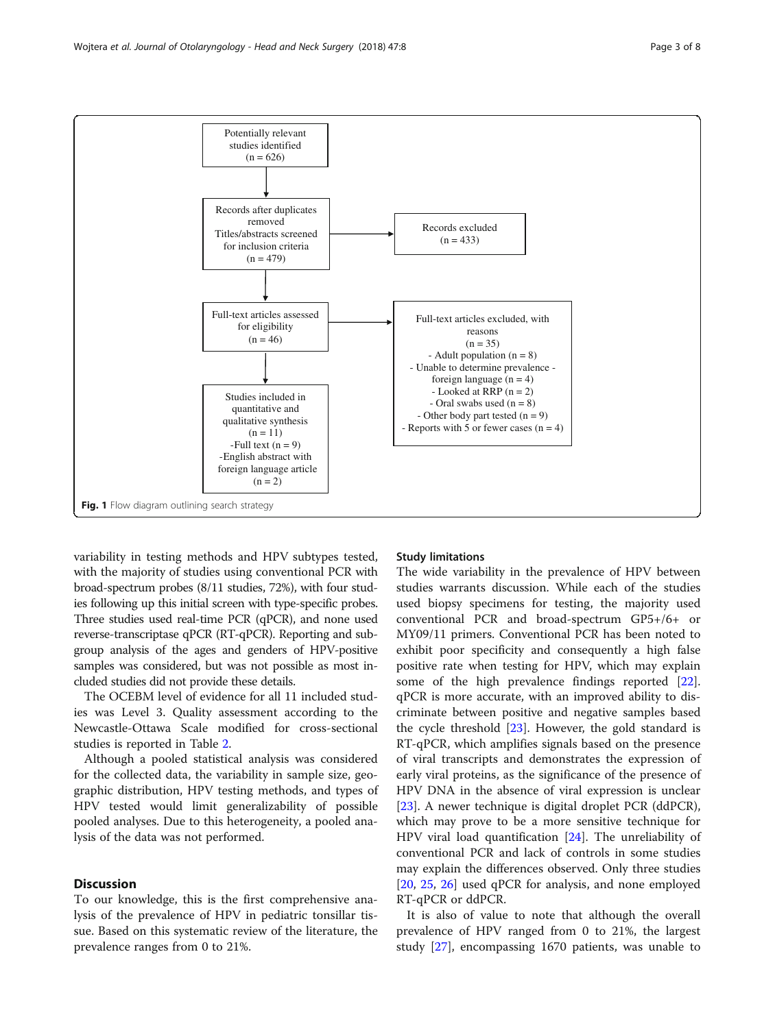<span id="page-2-0"></span>

variability in testing methods and HPV subtypes tested, with the majority of studies using conventional PCR with broad-spectrum probes (8/11 studies, 72%), with four studies following up this initial screen with type-specific probes. Three studies used real-time PCR (qPCR), and none used reverse-transcriptase qPCR (RT-qPCR). Reporting and subgroup analysis of the ages and genders of HPV-positive samples was considered, but was not possible as most included studies did not provide these details.

The OCEBM level of evidence for all 11 included studies was Level 3. Quality assessment according to the Newcastle-Ottawa Scale modified for cross-sectional studies is reported in Table [2.](#page-4-0)

Although a pooled statistical analysis was considered for the collected data, the variability in sample size, geographic distribution, HPV testing methods, and types of HPV tested would limit generalizability of possible pooled analyses. Due to this heterogeneity, a pooled analysis of the data was not performed.

# **Discussion**

To our knowledge, this is the first comprehensive analysis of the prevalence of HPV in pediatric tonsillar tissue. Based on this systematic review of the literature, the prevalence ranges from 0 to 21%.

# Study limitations

The wide variability in the prevalence of HPV between studies warrants discussion. While each of the studies used biopsy specimens for testing, the majority used conventional PCR and broad-spectrum GP5+/6+ or MY09/11 primers. Conventional PCR has been noted to exhibit poor specificity and consequently a high false positive rate when testing for HPV, which may explain some of the high prevalence findings reported [\[22](#page-6-0)]. qPCR is more accurate, with an improved ability to discriminate between positive and negative samples based the cycle threshold  $[23]$  $[23]$ . However, the gold standard is RT-qPCR, which amplifies signals based on the presence of viral transcripts and demonstrates the expression of early viral proteins, as the significance of the presence of HPV DNA in the absence of viral expression is unclear [[23\]](#page-6-0). A newer technique is digital droplet PCR (ddPCR), which may prove to be a more sensitive technique for HPV viral load quantification [\[24\]](#page-6-0). The unreliability of conventional PCR and lack of controls in some studies may explain the differences observed. Only three studies [[20,](#page-6-0) [25](#page-6-0), [26\]](#page-6-0) used qPCR for analysis, and none employed RT-qPCR or ddPCR.

It is also of value to note that although the overall prevalence of HPV ranged from 0 to 21%, the largest study [\[27](#page-6-0)], encompassing 1670 patients, was unable to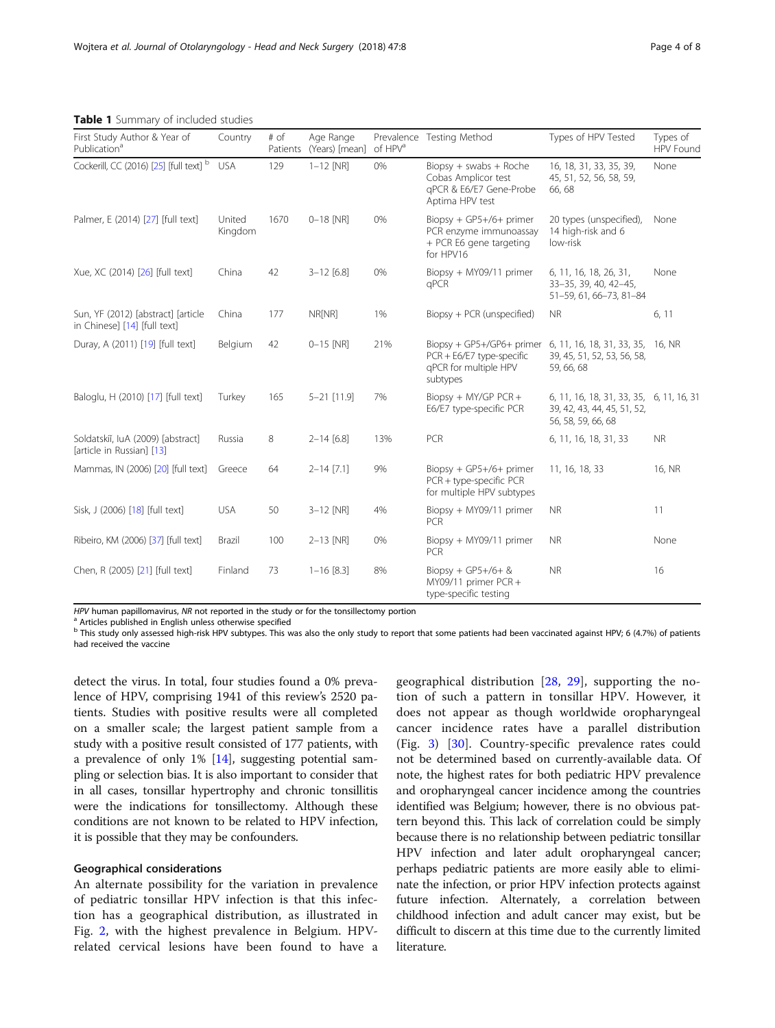<span id="page-3-0"></span>Table 1 Summary of included studies

| First Study Author & Year of<br>Publication <sup>a</sup>           | Country           | # of<br>Patients | Age Range<br>(Years) [mean] | of HPV <sup>a</sup> | Prevalence Testing Method                                                                     | Types of HPV Tested                                                                           | Types of<br>HPV Found |
|--------------------------------------------------------------------|-------------------|------------------|-----------------------------|---------------------|-----------------------------------------------------------------------------------------------|-----------------------------------------------------------------------------------------------|-----------------------|
| Cockerill, CC (2016) [25] [full text] b                            | <b>USA</b>        | 129              | $1 - 12$ [NR]               | 0%                  | $Biopsy + swabs + Roche$<br>Cobas Amplicor test<br>qPCR & E6/E7 Gene-Probe<br>Aptima HPV test | 16, 18, 31, 33, 35, 39,<br>45, 51, 52, 56, 58, 59,<br>66, 68                                  | None                  |
| Palmer, E (2014) [27] [full text]                                  | United<br>Kingdom | 1670             | $0 - 18$ [NR]               | 0%                  | Biopsy + $GP5+/6+$ primer<br>PCR enzyme immunoassay<br>+ PCR E6 gene targeting<br>for HPV16   | 20 types (unspecified),<br>14 high-risk and 6<br>low-risk                                     | None                  |
| Xue, XC (2014) [26] [full text]                                    | China             | 42               | $3-12$ [6.8]                | 0%                  | Biopsy + MY09/11 primer<br>qPCR                                                               | 6, 11, 16, 18, 26, 31,<br>33-35, 39, 40, 42-45,<br>51-59, 61, 66-73, 81-84                    | None                  |
| Sun, YF (2012) [abstract] [article<br>in Chinese] [14] [full text] | China             | 177              | NR[NR]                      | 1%                  | Biopsy + PCR (unspecified)                                                                    | <b>NR</b>                                                                                     | 6, 11                 |
| Duray, A (2011) [19] [full text]                                   | Belgium           | 42               | $0 - 15$ [NR]               | 21%                 | Biopsy + GP5+/GP6+ primer<br>PCR + E6/E7 type-specific<br>gPCR for multiple HPV<br>subtypes   | 6, 11, 16, 18, 31, 33, 35, 16, NR<br>39, 45, 51, 52, 53, 56, 58,<br>59, 66, 68                |                       |
| Baloglu, H (2010) [17] [full text]                                 | Turkey            | 165              | 5-21 [11.9]                 | 7%                  | Biopsy + MY/GP PCR +<br>E6/E7 type-specific PCR                                               | 6, 11, 16, 18, 31, 33, 35, 6, 11, 16, 31<br>39, 42, 43, 44, 45, 51, 52,<br>56, 58, 59, 66, 68 |                       |
| Soldatskiı, luA (2009) [abstract]<br>[article in Russian] [13]     | Russia            | 8                | $2 - 14$ [6.8]              | 13%                 | PCR                                                                                           | 6, 11, 16, 18, 31, 33                                                                         | <b>NR</b>             |
| Mammas, IN (2006) [20] [full text]                                 | Greece            | 64               | $2-14$ [7.1]                | 9%                  | Biopsy + GP5+/6+ primer<br>PCR + type-specific PCR<br>for multiple HPV subtypes               | 11, 16, 18, 33                                                                                | 16, NR                |
| Sisk, J (2006) [18] [full text]                                    | <b>USA</b>        | 50               | $3-12$ [NR]                 | 4%                  | Biopsy + MY09/11 primer<br>PCR                                                                | <b>NR</b>                                                                                     | 11                    |
| Ribeiro, KM (2006) [37] [full text]                                | Brazil            | 100              | $2 - 13$ [NR]               | 0%                  | Biopsy + MY09/11 primer<br>PCR                                                                | <b>NR</b>                                                                                     | None                  |
| Chen, R (2005) [21] [full text]                                    | Finland           | 73               | $1 - 16$ [8.3]              | 8%                  | Biopsy + $GP5+/6+$ &<br>MY09/11 primer PCR +<br>type-specific testing                         | <b>NR</b>                                                                                     | 16                    |

HPV human papillomavirus, NR not reported in the study or for the tonsillectomy portion  $a^a$  Articles published in English unless otherwise specified

<sup>b</sup> This study only assessed high-risk HPV subtypes. This was also the only study to report that some patients had been vaccinated against HPV; 6 (4.7%) of patients had received the vaccine

detect the virus. In total, four studies found a 0% prevalence of HPV, comprising 1941 of this review's 2520 patients. Studies with positive results were all completed on a smaller scale; the largest patient sample from a study with a positive result consisted of 177 patients, with a prevalence of only 1% [[14](#page-6-0)], suggesting potential sampling or selection bias. It is also important to consider that in all cases, tonsillar hypertrophy and chronic tonsillitis were the indications for tonsillectomy. Although these conditions are not known to be related to HPV infection, it is possible that they may be confounders.

# Geographical considerations

An alternate possibility for the variation in prevalence of pediatric tonsillar HPV infection is that this infection has a geographical distribution, as illustrated in Fig. [2](#page-4-0), with the highest prevalence in Belgium. HPVrelated cervical lesions have been found to have a geographical distribution [[28,](#page-6-0) [29](#page-6-0)], supporting the notion of such a pattern in tonsillar HPV. However, it does not appear as though worldwide oropharyngeal cancer incidence rates have a parallel distribution (Fig. [3](#page-5-0)) [\[30](#page-6-0)]. Country-specific prevalence rates could not be determined based on currently-available data. Of note, the highest rates for both pediatric HPV prevalence and oropharyngeal cancer incidence among the countries identified was Belgium; however, there is no obvious pattern beyond this. This lack of correlation could be simply because there is no relationship between pediatric tonsillar HPV infection and later adult oropharyngeal cancer; perhaps pediatric patients are more easily able to eliminate the infection, or prior HPV infection protects against future infection. Alternately, a correlation between childhood infection and adult cancer may exist, but be difficult to discern at this time due to the currently limited literature.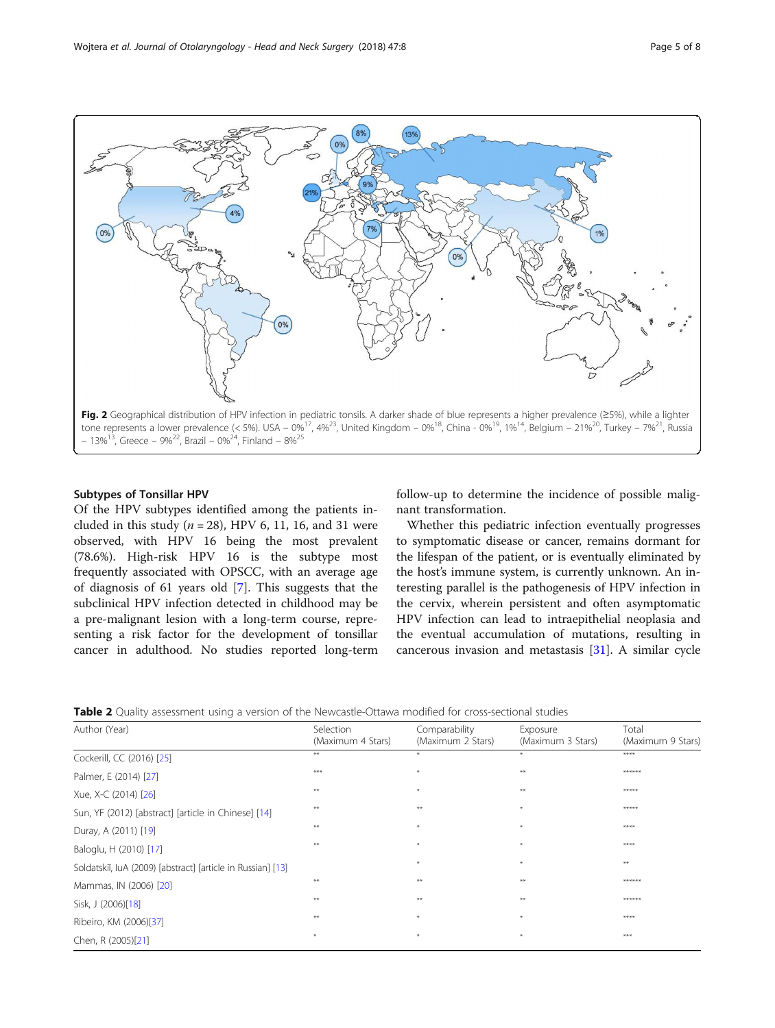<span id="page-4-0"></span>

# Subtypes of Tonsillar HPV

Of the HPV subtypes identified among the patients included in this study ( $n = 28$ ), HPV 6, 11, 16, and 31 were observed, with HPV 16 being the most prevalent (78.6%). High-risk HPV 16 is the subtype most frequently associated with OPSCC, with an average age of diagnosis of 61 years old [\[7](#page-6-0)]. This suggests that the subclinical HPV infection detected in childhood may be a pre-malignant lesion with a long-term course, representing a risk factor for the development of tonsillar cancer in adulthood. No studies reported long-term follow-up to determine the incidence of possible malignant transformation.

Whether this pediatric infection eventually progresses to symptomatic disease or cancer, remains dormant for the lifespan of the patient, or is eventually eliminated by the host's immune system, is currently unknown. An interesting parallel is the pathogenesis of HPV infection in the cervix, wherein persistent and often asymptomatic HPV infection can lead to intraepithelial neoplasia and the eventual accumulation of mutations, resulting in cancerous invasion and metastasis [\[31\]](#page-6-0). A similar cycle

| Table 2 Quality assessment using a version of the Newcastle-Ottawa modified for cross-sectional studies |  |  |
|---------------------------------------------------------------------------------------------------------|--|--|
|---------------------------------------------------------------------------------------------------------|--|--|

| Author (Year)                                                | Selection<br>(Maximum 4 Stars) | Comparability<br>(Maximum 2 Stars) | Exposure<br>(Maximum 3 Stars) | Total<br>(Maximum 9 Stars) |
|--------------------------------------------------------------|--------------------------------|------------------------------------|-------------------------------|----------------------------|
| Cockerill, CC (2016) [25]                                    | $***$                          |                                    |                               | ****                       |
| Palmer, E (2014) [27]                                        | $***$                          |                                    | **                            | ******                     |
| Xue, X-C (2014) [26]                                         | **                             |                                    | **                            | *****                      |
| Sun, YF (2012) [abstract] [article in Chinese] [14]          | **                             | $***$                              | ¥                             | *****                      |
| Duray, A (2011) [19]                                         | **                             | $\ast$                             | $\ast$                        | ****                       |
| Baloglu, H (2010) [17]                                       | **                             | $\mathcal{M}$                      | ¥                             | ****                       |
| Soldatskiı̆, luA (2009) [abstract] [article in Russian] [13] |                                | $\rightarrow$                      | ¥                             | $***$                      |
| Mammas, IN (2006) [20]                                       | **                             | $***$                              | **                            | ******                     |
| Sisk, J (2006)[18]                                           | $***$                          | $***$                              | **                            | ******                     |
| Ribeiro, KM (2006)[37]                                       | **                             | $\mathcal{M}$                      | ¥                             | ****                       |
| Chen, R (2005)[21]                                           | #                              | $\ast$                             | $\ast$                        | $***$                      |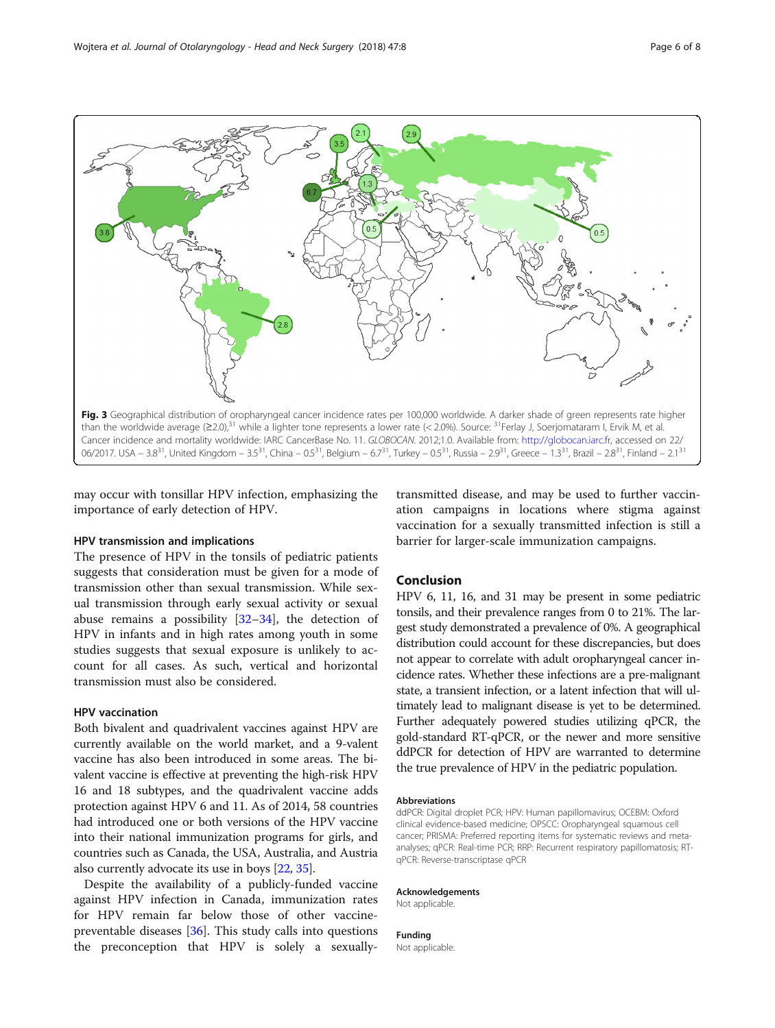<span id="page-5-0"></span>

may occur with tonsillar HPV infection, emphasizing the importance of early detection of HPV.

# HPV transmission and implications

The presence of HPV in the tonsils of pediatric patients suggests that consideration must be given for a mode of transmission other than sexual transmission. While sexual transmission through early sexual activity or sexual abuse remains a possibility  $[32-34]$  $[32-34]$  $[32-34]$  $[32-34]$  $[32-34]$ , the detection of HPV in infants and in high rates among youth in some studies suggests that sexual exposure is unlikely to account for all cases. As such, vertical and horizontal transmission must also be considered.

# HPV vaccination

Both bivalent and quadrivalent vaccines against HPV are currently available on the world market, and a 9-valent vaccine has also been introduced in some areas. The bivalent vaccine is effective at preventing the high-risk HPV 16 and 18 subtypes, and the quadrivalent vaccine adds protection against HPV 6 and 11. As of 2014, 58 countries had introduced one or both versions of the HPV vaccine into their national immunization programs for girls, and countries such as Canada, the USA, Australia, and Austria also currently advocate its use in boys [\[22,](#page-6-0) [35](#page-6-0)].

Despite the availability of a publicly-funded vaccine against HPV infection in Canada, immunization rates for HPV remain far below those of other vaccinepreventable diseases [\[36](#page-7-0)]. This study calls into questions the preconception that HPV is solely a sexually-

transmitted disease, and may be used to further vaccination campaigns in locations where stigma against vaccination for a sexually transmitted infection is still a barrier for larger-scale immunization campaigns.

# Conclusion

HPV 6, 11, 16, and 31 may be present in some pediatric tonsils, and their prevalence ranges from 0 to 21%. The largest study demonstrated a prevalence of 0%. A geographical distribution could account for these discrepancies, but does not appear to correlate with adult oropharyngeal cancer incidence rates. Whether these infections are a pre-malignant state, a transient infection, or a latent infection that will ultimately lead to malignant disease is yet to be determined. Further adequately powered studies utilizing qPCR, the gold-standard RT-qPCR, or the newer and more sensitive ddPCR for detection of HPV are warranted to determine the true prevalence of HPV in the pediatric population.

#### Abbreviations

ddPCR: Digital droplet PCR; HPV: Human papillomavirus; OCEBM: Oxford clinical evidence-based medicine; OPSCC: Oropharyngeal squamous cell cancer; PRISMA: Preferred reporting items for systematic reviews and metaanalyses; qPCR: Real-time PCR; RRP: Recurrent respiratory papillomatosis; RTqPCR: Reverse-transcriptase qPCR

#### Acknowledgements

Not applicable.

#### Funding

Not applicable.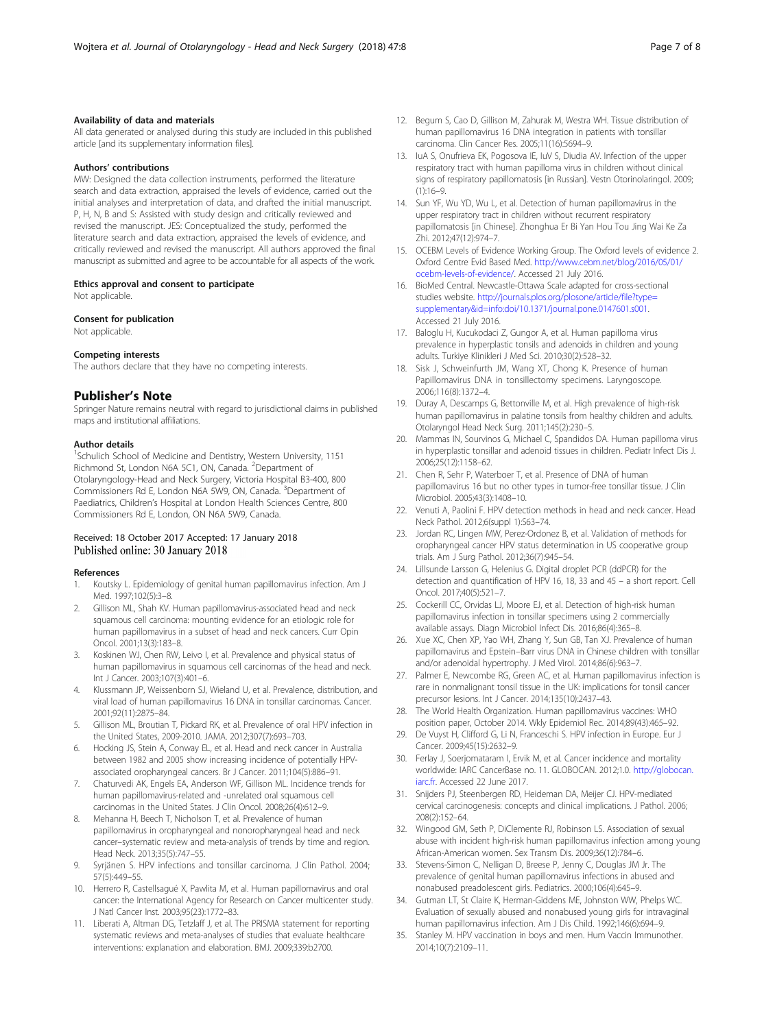# <span id="page-6-0"></span>Availability of data and materials

All data generated or analysed during this study are included in this published article [and its supplementary information files].

#### Authors' contributions

MW: Designed the data collection instruments, performed the literature search and data extraction, appraised the levels of evidence, carried out the initial analyses and interpretation of data, and drafted the initial manuscript. P, H, N, B and S: Assisted with study design and critically reviewed and revised the manuscript. JES: Conceptualized the study, performed the literature search and data extraction, appraised the levels of evidence, and critically reviewed and revised the manuscript. All authors approved the final manuscript as submitted and agree to be accountable for all aspects of the work.

### Ethics approval and consent to participate

Not applicable.

# Consent for publication

Not applicable.

#### Competing interests

The authors declare that they have no competing interests.

# Publisher's Note

Springer Nature remains neutral with regard to jurisdictional claims in published maps and institutional affiliations.

#### Author details

<sup>1</sup>Schulich School of Medicine and Dentistry, Western University, 1151 Richmond St, London N6A 5C1, ON, Canada. <sup>2</sup>Department of Otolaryngology-Head and Neck Surgery, Victoria Hospital B3-400, 800 Commissioners Rd E, London N6A 5W9, ON, Canada. <sup>3</sup>Department of Paediatrics, Children's Hospital at London Health Sciences Centre, 800 Commissioners Rd E, London, ON N6A 5W9, Canada.

# Received: 18 October 2017 Accepted: 17 January 2018 Published online: 30 January 2018

#### References

- 1. Koutsky L. Epidemiology of genital human papillomavirus infection. Am J Med. 1997;102(5):3–8.
- 2. Gillison ML, Shah KV. Human papillomavirus-associated head and neck squamous cell carcinoma: mounting evidence for an etiologic role for human papillomavirus in a subset of head and neck cancers. Curr Opin Oncol. 2001;13(3):183–8.
- 3. Koskinen WJ, Chen RW, Leivo I, et al. Prevalence and physical status of human papillomavirus in squamous cell carcinomas of the head and neck. Int J Cancer. 2003;107(3):401–6.
- 4. Klussmann JP, Weissenborn SJ, Wieland U, et al. Prevalence, distribution, and viral load of human papillomavirus 16 DNA in tonsillar carcinomas. Cancer. 2001;92(11):2875–84.
- 5. Gillison ML, Broutian T, Pickard RK, et al. Prevalence of oral HPV infection in the United States, 2009-2010. JAMA. 2012;307(7):693–703.
- 6. Hocking JS, Stein A, Conway EL, et al. Head and neck cancer in Australia between 1982 and 2005 show increasing incidence of potentially HPVassociated oropharyngeal cancers. Br J Cancer. 2011;104(5):886–91.
- 7. Chaturvedi AK, Engels EA, Anderson WF, Gillison ML. Incidence trends for human papillomavirus-related and -unrelated oral squamous cell carcinomas in the United States. J Clin Oncol. 2008;26(4):612–9.
- Mehanna H, Beech T, Nicholson T, et al. Prevalence of human papillomavirus in oropharyngeal and nonoropharyngeal head and neck cancer–systematic review and meta-analysis of trends by time and region. Head Neck. 2013;35(5):747–55.
- 9. Syrjänen S. HPV infections and tonsillar carcinoma. J Clin Pathol. 2004; 57(5):449–55.
- 10. Herrero R, Castellsagué X, Pawlita M, et al. Human papillomavirus and oral cancer: the International Agency for Research on Cancer multicenter study. J Natl Cancer Inst. 2003;95(23):1772–83.
- 11. Liberati A, Altman DG, Tetzlaff J, et al. The PRISMA statement for reporting systematic reviews and meta-analyses of studies that evaluate healthcare interventions: explanation and elaboration. BMJ. 2009;339:b2700.
- 12. Begum S, Cao D, Gillison M, Zahurak M, Westra WH. Tissue distribution of human papillomavirus 16 DNA integration in patients with tonsillar carcinoma. Clin Cancer Res. 2005;11(16):5694–9.
- 13. IuA S, Onufrieva EK, Pogosova IE, IuV S, Diudia AV. Infection of the upper respiratory tract with human papilloma virus in children without clinical signs of respiratory papillomatosis [in Russian]. Vestn Otorinolaringol. 2009; (1):16–9.
- 14. Sun YF, Wu YD, Wu L, et al. Detection of human papillomavirus in the upper respiratory tract in children without recurrent respiratory papillomatosis [in Chinese]. Zhonghua Er Bi Yan Hou Tou Jing Wai Ke Za Zhi. 2012;47(12):974–7.
- 15. OCEBM Levels of Evidence Working Group. The Oxford levels of evidence 2. Oxford Centre Evid Based Med. [http://www.cebm.net/blog/2016/05/01/](http://www.cebm.net/blog/2016/05/01/ocebm-levels-of-evidence/) [ocebm-levels-of-evidence/](http://www.cebm.net/blog/2016/05/01/ocebm-levels-of-evidence/). Accessed 21 July 2016.
- 16. BioMed Central. Newcastle-Ottawa Scale adapted for cross-sectional studies website. [http://journals.plos.org/plosone/article/file?type=](http://journals.plos.org/plosone/article/file?type=supplementary&id=info:doi/10.1371/journal.pone.0147601.s001) [supplementary&id=info:doi/10.1371/journal.pone.0147601.s001](http://journals.plos.org/plosone/article/file?type=supplementary&id=info:doi/10.1371/journal.pone.0147601.s001). Accessed 21 July 2016.
- 17. Baloglu H, Kucukodaci Z, Gungor A, et al. Human papilloma virus prevalence in hyperplastic tonsils and adenoids in children and young adults. Turkiye Klinikleri J Med Sci. 2010;30(2):528–32.
- 18. Sisk J, Schweinfurth JM, Wang XT, Chong K. Presence of human Papillomavirus DNA in tonsillectomy specimens. Laryngoscope. 2006;116(8):1372–4.
- 19. Duray A, Descamps G, Bettonville M, et al. High prevalence of high-risk human papillomavirus in palatine tonsils from healthy children and adults. Otolaryngol Head Neck Surg. 2011;145(2):230–5.
- 20. Mammas IN, Sourvinos G, Michael C, Spandidos DA. Human papilloma virus in hyperplastic tonsillar and adenoid tissues in children. Pediatr Infect Dis J. 2006;25(12):1158–62.
- 21. Chen R, Sehr P, Waterboer T, et al. Presence of DNA of human papillomavirus 16 but no other types in tumor-free tonsillar tissue. J Clin Microbiol. 2005;43(3):1408–10.
- 22. Venuti A, Paolini F. HPV detection methods in head and neck cancer. Head Neck Pathol. 2012;6(suppl 1):S63–74.
- 23. Jordan RC, Lingen MW, Perez-Ordonez B, et al. Validation of methods for oropharyngeal cancer HPV status determination in US cooperative group trials. Am J Surg Pathol. 2012;36(7):945–54.
- 24. Lillsunde Larsson G, Helenius G. Digital droplet PCR (ddPCR) for the detection and quantification of HPV 16, 18, 33 and 45 – a short report. Cell Oncol. 2017;40(5):521–7.
- 25. Cockerill CC, Orvidas LJ, Moore EJ, et al. Detection of high-risk human papillomavirus infection in tonsillar specimens using 2 commercially available assays. Diagn Microbiol Infect Dis. 2016;86(4):365–8.
- 26. Xue XC, Chen XP, Yao WH, Zhang Y, Sun GB, Tan XJ. Prevalence of human papillomavirus and Epstein–Barr virus DNA in Chinese children with tonsillar and/or adenoidal hypertrophy. J Med Virol. 2014;86(6):963–7.
- 27. Palmer E, Newcombe RG, Green AC, et al. Human papillomavirus infection is rare in nonmalignant tonsil tissue in the UK: implications for tonsil cancer precursor lesions. Int J Cancer. 2014;135(10):2437–43.
- 28. The World Health Organization. Human papillomavirus vaccines: WHO position paper, October 2014. Wkly Epidemiol Rec. 2014;89(43):465–92.
- 29. De Vuyst H, Clifford G, Li N, Franceschi S. HPV infection in Europe. Eur J Cancer. 2009;45(15):2632–9.
- 30. Ferlay J, Soerjomataram I, Ervik M, et al. Cancer incidence and mortality worldwide: IARC CancerBase no. 11. GLOBOCAN. 2012;1.0. [http://globocan.](http://globocan.iarc.fr) [iarc.fr.](http://globocan.iarc.fr) Accessed 22 June 2017.
- 31. Snijders PJ, Steenbergen RD, Heideman DA, Meijer CJ. HPV-mediated cervical carcinogenesis: concepts and clinical implications. J Pathol. 2006; 208(2):152–64.
- 32. Wingood GM, Seth P, DiClemente RJ, Robinson LS. Association of sexual abuse with incident high-risk human papillomavirus infection among young African-American women. Sex Transm Dis. 2009;36(12):784–6.
- 33. Stevens-Simon C, Nelligan D, Breese P, Jenny C, Douglas JM Jr. The prevalence of genital human papillomavirus infections in abused and nonabused preadolescent girls. Pediatrics. 2000;106(4):645–9.
- 34. Gutman LT, St Claire K, Herman-Giddens ME, Johnston WW, Phelps WC. Evaluation of sexually abused and nonabused young girls for intravaginal human papillomavirus infection. Am J Dis Child. 1992;146(6):694–9.
- 35. Stanley M. HPV vaccination in boys and men. Hum Vaccin Immunother. 2014;10(7):2109–11.